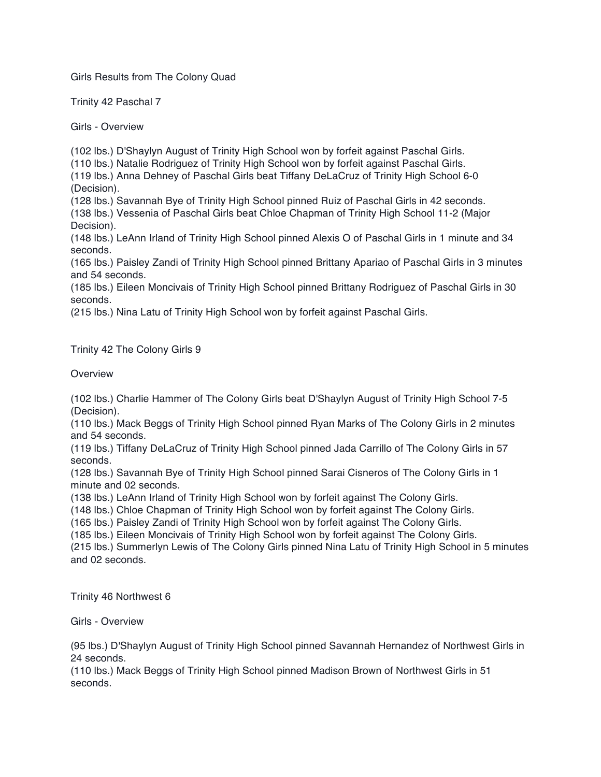Girls Results from The Colony Quad

Trinity 42 Paschal 7

Girls - Overview

(102 lbs.) D'Shaylyn August of Trinity High School won by forfeit against Paschal Girls. (110 lbs.) Natalie Rodriguez of Trinity High School won by forfeit against Paschal Girls. (119 lbs.) Anna Dehney of Paschal Girls beat Tiffany DeLaCruz of Trinity High School 6-0 (Decision).

(128 lbs.) Savannah Bye of Trinity High School pinned Ruiz of Paschal Girls in 42 seconds. (138 lbs.) Vessenia of Paschal Girls beat Chloe Chapman of Trinity High School 11-2 (Major Decision).

(148 lbs.) LeAnn Irland of Trinity High School pinned Alexis O of Paschal Girls in 1 minute and 34 seconds.

(165 lbs.) Paisley Zandi of Trinity High School pinned Brittany Apariao of Paschal Girls in 3 minutes and 54 seconds.

(185 lbs.) Eileen Moncivais of Trinity High School pinned Brittany Rodriguez of Paschal Girls in 30 seconds.

(215 lbs.) Nina Latu of Trinity High School won by forfeit against Paschal Girls.

Trinity 42 The Colony Girls 9

Overview

(102 lbs.) Charlie Hammer of The Colony Girls beat D'Shaylyn August of Trinity High School 7-5 (Decision).

(110 lbs.) Mack Beggs of Trinity High School pinned Ryan Marks of The Colony Girls in 2 minutes and 54 seconds.

(119 lbs.) Tiffany DeLaCruz of Trinity High School pinned Jada Carrillo of The Colony Girls in 57 seconds.

(128 lbs.) Savannah Bye of Trinity High School pinned Sarai Cisneros of The Colony Girls in 1 minute and 02 seconds.

(138 lbs.) LeAnn Irland of Trinity High School won by forfeit against The Colony Girls.

(148 lbs.) Chloe Chapman of Trinity High School won by forfeit against The Colony Girls.

(165 lbs.) Paisley Zandi of Trinity High School won by forfeit against The Colony Girls.

(185 lbs.) Eileen Moncivais of Trinity High School won by forfeit against The Colony Girls.

(215 lbs.) Summerlyn Lewis of The Colony Girls pinned Nina Latu of Trinity High School in 5 minutes and 02 seconds.

Trinity 46 Northwest 6

Girls - Overview

(95 lbs.) D'Shaylyn August of Trinity High School pinned Savannah Hernandez of Northwest Girls in 24 seconds.

(110 lbs.) Mack Beggs of Trinity High School pinned Madison Brown of Northwest Girls in 51 seconds.